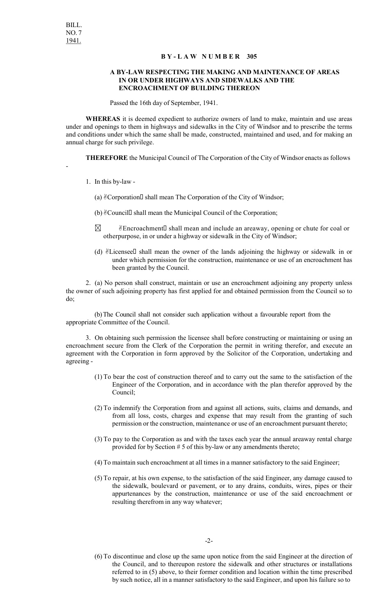-

## **B Y - L A W N U M B E R 305**

## **A BY-LAW RESPECTING THE MAKING AND MAINTENANCE OF AREAS IN OR UNDER HIGHWAYS AND SIDEWALKS AND THE ENCROACHMENT OF BUILDING THEREON**

Passed the 16th day of September, 1941.

**WHEREAS** it is deemed expedient to authorize owners of land to make, maintain and use areas under and openings to them in highways and sidewalks in the City of Windsor and to prescribe the terms and conditions under which the same shall be made, constructed, maintained and used, and for making an annual charge for such privilege.

**THEREFORE** the Municipal Council of The Corporation of the City of Windsor enacts as follows

1. In this by-law -

(a)  $C$ orporation  $\Box$  shall mean The Corporation of the City of Windsor;

- (b)  $\mathcal{C}$  Council  $\Box$  shall mean the Municipal Council of the Corporation;
- $\boxtimes$   $\blacksquare$   $\mathcal$   $\mathcal{B}$  Encroachment  $\blacksquare$  shall mean and include an areaway, opening or chute for coal or otherpurpose, in or under a highway or sidewalk in the City of Windsor;
- (d)  $\mathcal{E}$ Licensee shall mean the owner of the lands adjoining the highway or sidewalk in or under which permission for the construction, maintenance or use of an encroachment has been granted by the Council.

2. (a) No person shall construct, maintain or use an encroachment adjoining any property unless the owner of such adjoining property has first applied for and obtained permission from the Council so to do;

(b)The Council shall not consider such application without a favourable report from the appropriate Committee of the Council.

3. On obtaining such permission the licensee shall before constructing or maintaining or using an encroachment secure from the Clerk of the Corporation the permit in writing therefor, and execute an agreement with the Corporation in form approved by the Solicitor of the Corporation, undertaking and agreeing -

- (1) To bear the cost of construction thereof and to carry out the same to the satisfaction of the Engineer of the Corporation, and in accordance with the plan therefor approved by the Council;
- (2) To indemnify the Corporation from and against all actions, suits, claims and demands, and from all loss, costs, charges and expense that may result from the granting of such permission or the construction, maintenance or use of an encroachment pursuant thereto;
- (3) To pay to the Corporation as and with the taxes each year the annual areaway rental charge provided for by Section # 5 of this by-law or any amendments thereto;
- (4) To maintain such encroachment at all times in a manner satisfactory to the said Engineer;
- (5) To repair, at his own expense, to the satisfaction of the said Engineer, any damage caused to the sidewalk, boulevard or pavement, or to any drains, conduits, wires, pipes or their appurtenances by the construction, maintenance or use of the said encroachment or resulting therefrom in any way whatever;

(6) To discontinue and close up the same upon notice from the said Engineer at the direction of the Council, and to thereupon restore the sidewalk and other structures or installations referred to in (5) above, to their former condition and location within the time prescribed by such notice, all in a manner satisfactory to the said Engineer, and upon his failure so to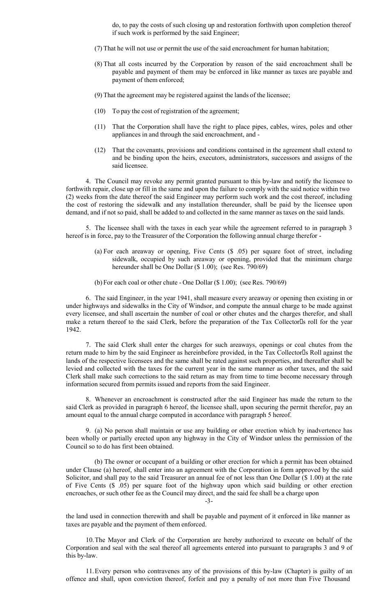do, to pay the costs of such closing up and restoration forthwith upon completion thereof if such work is performed by the said Engineer;

- (7) That he will not use or permit the use of the said encroachment for human habitation;
- (8) That all costs incurred by the Corporation by reason of the said encroachment shall be payable and payment of them may be enforced in like manner as taxes are payable and payment of them enforced;
- (9) That the agreement may be registered against the lands of the licensee;
- (10) To pay the cost of registration of the agreement;
- (11) That the Corporation shall have the right to place pipes, cables, wires, poles and other appliances in and through the said encroachment, and -
- (12) That the covenants, provisions and conditions contained in the agreement shall extend to and be binding upon the heirs, executors, administrators, successors and assigns of the said licensee.

4. The Council may revoke any permit granted pursuant to this by-law and notify the licensee to forthwith repair, close up or fill in the same and upon the failure to comply with the said notice within two (2) weeks from the date thereof the said Engineer may perform such work and the cost thereof, including the cost of restoring the sidewalk and any installation thereunder, shall be paid by the licensee upon demand, and if not so paid, shall be added to and collected in the same manner as taxes on the said lands.

5. The licensee shall with the taxes in each year while the agreement referred to in paragraph 3 hereof is in force, pay to the Treasurer of the Corporation the following annual charge therefor -

- (a) For each areaway or opening, Five Cents (\$ .05) per square foot of street, including sidewalk, occupied by such areaway or opening, provided that the minimum charge hereunder shall be One Dollar (\$ 1.00); (see Res. 790/69)
- (b) For each coal or other chute One Dollar (\$ 1.00); (see Res. 790/69)

6. The said Engineer, in the year 1941, shall measure every areaway or opening then existing in or under highways and sidewalks in the City of Windsor, and compute the annual charge to be made against every licensee, and shall ascertain the number of coal or other chutes and the charges therefor, and shall make a return thereof to the said Clerk, before the preparation of the Tax Collector<sup>Is</sup> roll for the year 1942.

7. The said Clerk shall enter the charges for such areaways, openings or coal chutes from the return made to him by the said Engineer as hereinbefore provided, in the Tax Collector<sup>IS</sup> Roll against the lands of the respective licensees and the same shall be rated against such properties, and thereafter shall be levied and collected with the taxes for the current year in the same manner as other taxes, and the said Clerk shall make such corrections to the said return as may from time to time become necessary through information secured from permits issued and reports from the said Engineer.

8. Whenever an encroachment is constructed after the said Engineer has made the return to the said Clerk as provided in paragraph 6 hereof, the licensee shall, upon securing the permit therefor, pay an amount equal to the annual charge computed in accordance with paragraph 5 hereof.

9. (a) No person shall maintain or use any building or other erection which by inadvertence has been wholly or partially erected upon any highway in the City of Windsor unless the permission of the Council so to do has first been obtained.

(b) The owner or occupant of a building or other erection for which a permit has been obtained under Clause (a) hereof, shall enter into an agreement with the Corporation in form approved by the said Solicitor, and shall pay to the said Treasurer an annual fee of not less than One Dollar (\$ 1.00) at the rate of Five Cents (\$ .05) per square foot of the highway upon which said building or other erection encroaches, or such other fee as the Council may direct, and the said fee shall be a charge upon

-3-

the land used in connection therewith and shall be payable and payment of it enforced in like manner as taxes are payable and the payment of them enforced.

10.The Mayor and Clerk of the Corporation are hereby authorized to execute on behalf of the Corporation and seal with the seal thereof all agreements entered into pursuant to paragraphs 3 and 9 of this by-law.

11.Every person who contravenes any of the provisions of this by-law (Chapter) is guilty of an offence and shall, upon conviction thereof, forfeit and pay a penalty of not more than Five Thousand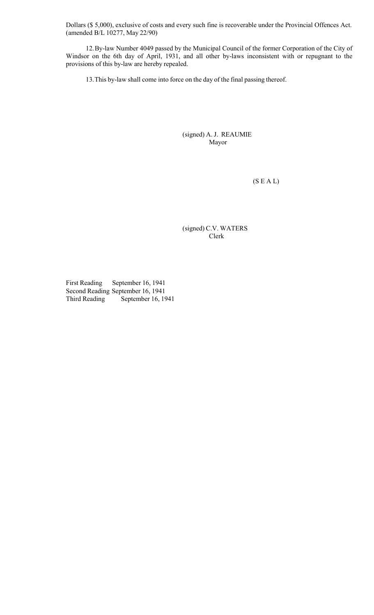Dollars (\$ 5,000), exclusive of costs and every such fine is recoverable under the Provincial Offences Act. (amended B/L 10277, May 22/90)

12.By-law Number 4049 passed by the Municipal Council of the former Corporation of the City of Windsor on the 6th day of April, 1931, and all other by-laws inconsistent with or repugnant to the provisions of this by-law are hereby repealed.

13.This by-law shall come into force on the day of the final passing thereof.

(signed) A. J. REAUMIE Mayor

 $(S E A L)$ 

(signed) C.V. WATERS Clerk

First Reading September 16, 1941 Second Reading September 16, 1941 Third Reading September 16, 1941